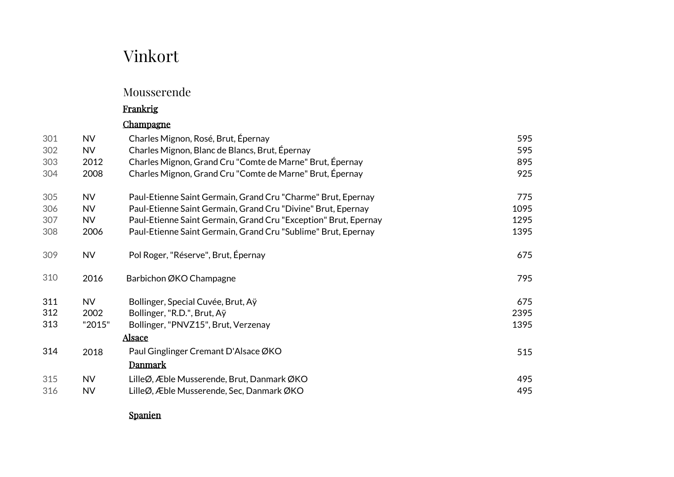# Vinkort

### Mousserende

### Frankrig

### Champagne

| 301               | <b>NV</b>                   | Charles Mignon, Rosé, Brut, Épernay                                                                                       | 595                 |
|-------------------|-----------------------------|---------------------------------------------------------------------------------------------------------------------------|---------------------|
| 302               | <b>NV</b>                   | Charles Mignon, Blanc de Blancs, Brut, Épernay                                                                            | 595                 |
| 303               | 2012                        | Charles Mignon, Grand Cru "Comte de Marne" Brut, Epernay                                                                  | 895                 |
| 304               | 2008                        | Charles Mignon, Grand Cru "Comte de Marne" Brut, Épernay                                                                  | 925                 |
| 305               | <b>NV</b>                   | Paul-Etienne Saint Germain, Grand Cru "Charme" Brut, Epernay                                                              | 775                 |
| 306               | <b>NV</b>                   | Paul-Etienne Saint Germain, Grand Cru "Divine" Brut, Epernay                                                              | 1095                |
| 307               | <b>NV</b>                   | Paul-Etienne Saint Germain, Grand Cru "Exception" Brut, Epernay                                                           | 1295                |
| 308               | 2006                        | Paul-Etienne Saint Germain, Grand Cru "Sublime" Brut, Epernay                                                             | 1395                |
| 309               | <b>NV</b>                   | Pol Roger, "Réserve", Brut, Épernay                                                                                       | 675                 |
| 310               | 2016                        | Barbichon ØKO Champagne                                                                                                   | 795                 |
| 311<br>312<br>313 | <b>NV</b><br>2002<br>"2015" | Bollinger, Special Cuvée, Brut, Aÿ<br>Bollinger, "R.D.", Brut, Aÿ<br>Bollinger, "PNVZ15", Brut, Verzenay<br><u>Alsace</u> | 675<br>2395<br>1395 |
| 314               | 2018                        | Paul Ginglinger Cremant D'Alsace ØKO<br><b>Danmark</b>                                                                    | 515                 |
| 315               | <b>NV</b>                   | LilleØ, Æble Musserende, Brut, DanmarkØKO                                                                                 | 495                 |
| 316               | <b>NV</b>                   | LilleØ, Æble Musserende, Sec, Danmark ØKO                                                                                 | 495                 |

Spanien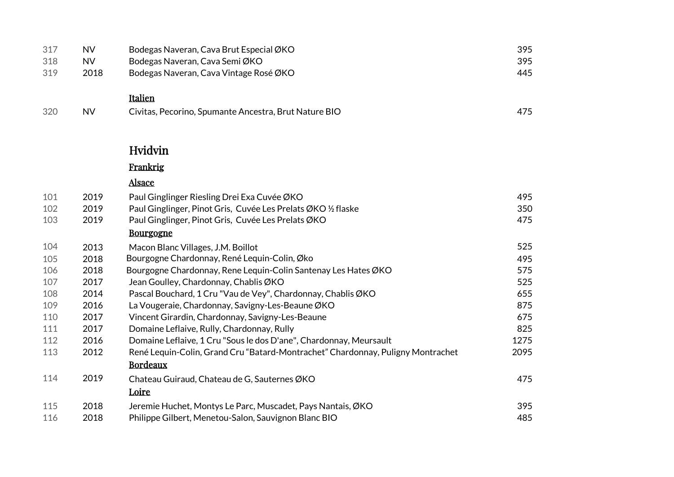| 317 | <b>NV</b> | Bodegas Naveran, Cava Brut Especial ØKO                                         | 395  |
|-----|-----------|---------------------------------------------------------------------------------|------|
| 318 | <b>NV</b> | Bodegas Naveran, Cava Semi ØKO                                                  | 395  |
| 319 | 2018      | Bodegas Naveran, Cava Vintage Rosé ØKO                                          | 445  |
|     |           | Italien                                                                         |      |
| 320 | <b>NV</b> | Civitas, Pecorino, Spumante Ancestra, Brut Nature BIO                           | 475  |
|     |           | Hvidvin                                                                         |      |
|     |           | Frankrig                                                                        |      |
|     |           | <b>Alsace</b>                                                                   |      |
| 101 | 2019      | Paul Ginglinger Riesling Drei Exa Cuvée ØKO                                     | 495  |
| 102 | 2019      | Paul Ginglinger, Pinot Gris, Cuvée Les Prelats ØKO ½ flaske                     | 350  |
| 103 | 2019      | Paul Ginglinger, Pinot Gris, Cuvée Les Prelats ØKO                              | 475  |
|     |           | <b>Bourgogne</b>                                                                |      |
| 104 | 2013      | Macon Blanc Villages, J.M. Boillot                                              | 525  |
| 105 | 2018      | Bourgogne Chardonnay, René Lequin-Colin, Øko                                    | 495  |
| 106 | 2018      | Bourgogne Chardonnay, Rene Lequin-Colin Santenay Les Hates ØKO                  | 575  |
| 107 | 2017      | Jean Goulley, Chardonnay, Chablis ØKO                                           | 525  |
| 108 | 2014      | Pascal Bouchard, 1 Cru "Vau de Vey", Chardonnay, Chablis ØKO                    | 655  |
| 109 | 2016      | La Vougeraie, Chardonnay, Savigny-Les-Beaune ØKO                                | 875  |
| 110 | 2017      | Vincent Girardin, Chardonnay, Savigny-Les-Beaune                                | 675  |
| 111 | 2017      | Domaine Leflaive, Rully, Chardonnay, Rully                                      | 825  |
| 112 | 2016      | Domaine Leflaive, 1 Cru "Sous le dos D'ane", Chardonnay, Meursault              | 1275 |
| 113 | 2012      | René Lequin-Colin, Grand Cru "Batard-Montrachet" Chardonnay, Puligny Montrachet | 2095 |
|     |           | <b>Bordeaux</b>                                                                 |      |
| 114 | 2019      | Chateau Guiraud, Chateau de G, Sauternes ØKO                                    | 475  |
|     |           | Loire                                                                           |      |
| 115 | 2018      | Jeremie Huchet, Montys Le Parc, Muscadet, Pays Nantais, ØKO                     | 395  |
| 116 | 2018      | Philippe Gilbert, Menetou-Salon, Sauvignon Blanc BIO                            | 485  |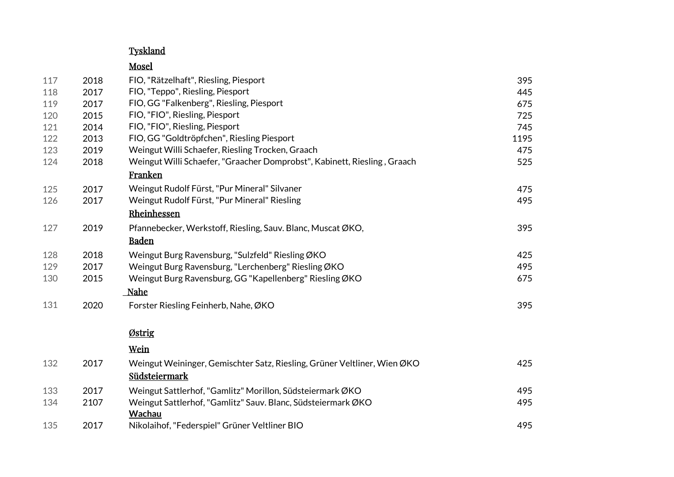#### Tyskland

#### Mosel

| 117 | 2018 | FIO, "Rätzelhaft", Riesling, Piesport                                    | 395  |
|-----|------|--------------------------------------------------------------------------|------|
| 118 | 2017 | FIO, "Teppo", Riesling, Piesport                                         | 445  |
| 119 | 2017 | FIO, GG "Falkenberg", Riesling, Piesport                                 | 675  |
| 120 | 2015 | FIO, "FIO", Riesling, Piesport                                           | 725  |
| 121 | 2014 | FIO, "FIO", Riesling, Piesport                                           | 745  |
| 122 | 2013 | FIO, GG "Goldtröpfchen", Riesling Piesport                               | 1195 |
| 123 | 2019 | Weingut Willi Schaefer, Riesling Trocken, Graach                         | 475  |
| 124 | 2018 | Weingut Willi Schaefer, "Graacher Domprobst", Kabinett, Riesling, Graach | 525  |
|     |      | Franken                                                                  |      |
| 125 | 2017 | Weingut Rudolf Fürst, "Pur Mineral" Silvaner                             | 475  |
| 126 | 2017 | Weingut Rudolf Fürst, "Pur Mineral" Riesling                             | 495  |
|     |      | Rheinhessen                                                              |      |
| 127 | 2019 | Pfannebecker, Werkstoff, Riesling, Sauv. Blanc, Muscat ØKO,              | 395  |
|     |      | <b>Baden</b>                                                             |      |
| 128 | 2018 | Weingut Burg Ravensburg, "Sulzfeld" Riesling ØKO                         | 425  |
| 129 | 2017 | Weingut Burg Ravensburg, "Lerchenberg" Riesling ØKO                      | 495  |
| 130 | 2015 | Weingut Burg Ravensburg, GG "Kapellenberg" Riesling ØKO                  | 675  |
|     |      | <u>Nahe</u>                                                              |      |
| 131 | 2020 | Forster Riesling Feinherb, Nahe, ØKO                                     | 395  |
|     |      | Østrig                                                                   |      |
|     |      | Wein                                                                     |      |
| 132 | 2017 | Weingut Weininger, Gemischter Satz, Riesling, Grüner Veltliner, Wien ØKO | 425  |
|     |      | Südsteiermark                                                            |      |
| 133 | 2017 | Weingut Sattlerhof, "Gamlitz" Morillon, Südsteiermark ØKO                | 495  |
| 134 | 2107 | Weingut Sattlerhof, "Gamlitz" Sauv. Blanc, Südsteiermark ØKO             | 495  |
|     |      | <b>Wachau</b>                                                            |      |
| 135 | 2017 | Nikolaihof, "Federspiel" Grüner Veltliner BIO                            | 495  |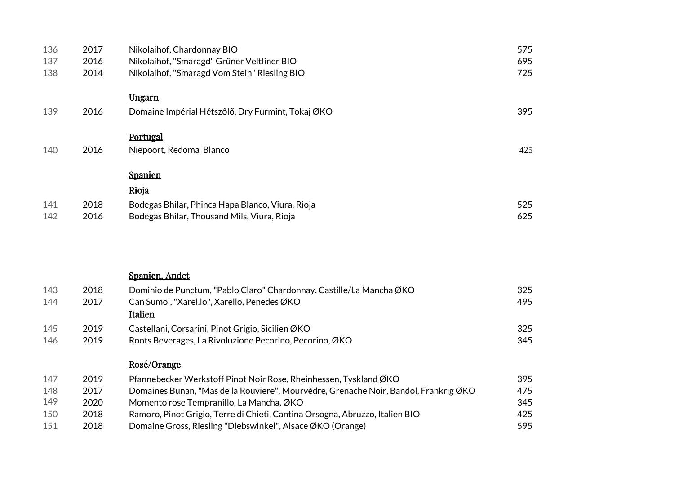| 136<br>137<br>138 | 2017<br>2016<br>2014 | Nikolaihof, Chardonnay BIO<br>Nikolaihof, "Smaragd" Grüner Veltliner BIO<br>Nikolaihof, "Smaragd Vom Stein" Riesling BIO | 575<br>695<br>725 |
|-------------------|----------------------|--------------------------------------------------------------------------------------------------------------------------|-------------------|
|                   |                      | Ungarn                                                                                                                   |                   |
| 139               | 2016                 | Domaine Impérial Hétszőlő, Dry Furmint, Tokaj ØKO                                                                        | 395               |
|                   |                      | Portugal                                                                                                                 |                   |
| 140               | 2016                 | Niepoort, Redoma Blanco                                                                                                  | 425               |
|                   |                      | <b>Spanien</b>                                                                                                           |                   |
|                   |                      | Rioja                                                                                                                    |                   |
| 141               | 2018                 | Bodegas Bhilar, Phinca Hapa Blanco, Viura, Rioja                                                                         | 525               |
| 142               | 2016                 | Bodegas Bhilar, Thousand Mils, Viura, Rioja                                                                              | 625               |
|                   |                      | Spanien, Andet                                                                                                           |                   |
| 143               | 2018                 | Dominio de Punctum, "Pablo Claro" Chardonnay, Castille/La Mancha ØKO                                                     | 325               |
| 144               | 2017                 | Can Sumoi, "Xarel.lo", Xarello, Penedes ØKO<br>Italien                                                                   | 495               |
| 145               | 2019                 | Castellani, Corsarini, Pinot Grigio, Sicilien ØKO                                                                        | 325               |
| 146               | 2019                 | Roots Beverages, La Rivoluzione Pecorino, Pecorino, ØKO                                                                  | 345               |
|                   |                      | Rosé/Orange                                                                                                              |                   |
| 147               | 2019                 | Pfannebecker Werkstoff Pinot Noir Rose, Rheinhessen, Tyskland ØKO                                                        | 395               |
| 148               | 2017                 | Domaines Bunan, "Mas de la Rouviere", Mourvèdre, Grenache Noir, Bandol, Frankrig ØKO                                     | 475               |

 2020 Momento rose Tempranillo, La Mancha, ØKO 345 2018 Ramoro, Pinot Grigio, Terre di Chieti, Cantina Orsogna, Abruzzo, Italien BIO 425 2018 Domaine Gross, Riesling "Diebswinkel", Alsace ØKO (Orange) 595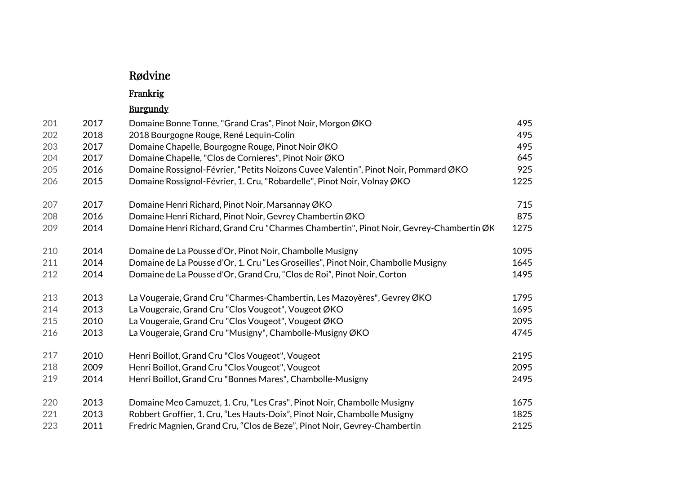# Rødvine

# Frankrig

# Burgundy

| 201 | 2017 | Domaine Bonne Tonne, "Grand Cras", Pinot Noir, Morgon ØKO                               | 495  |
|-----|------|-----------------------------------------------------------------------------------------|------|
| 202 | 2018 | 2018 Bourgogne Rouge, René Lequin-Colin                                                 | 495  |
| 203 | 2017 | Domaine Chapelle, Bourgogne Rouge, Pinot Noir ØKO                                       | 495  |
| 204 | 2017 | Domaine Chapelle, "Clos de Cornieres", Pinot Noir ØKO                                   | 645  |
| 205 | 2016 | Domaine Rossignol-Février, "Petits Noizons Cuvee Valentin", Pinot Noir, Pommard ØKO     | 925  |
| 206 | 2015 | Domaine Rossignol-Février, 1. Cru, "Robardelle", Pinot Noir, Volnay ØKO                 | 1225 |
| 207 | 2017 | Domaine Henri Richard, Pinot Noir, Marsannay ØKO                                        | 715  |
| 208 | 2016 | Domaine Henri Richard, Pinot Noir, Gevrey Chambertin ØKO                                | 875  |
| 209 | 2014 | Domaine Henri Richard, Grand Cru "Charmes Chambertin", Pinot Noir, Gevrey-Chambertin ØK | 1275 |
| 210 | 2014 | Domaine de La Pousse d'Or, Pinot Noir, Chambolle Musigny                                | 1095 |
| 211 | 2014 | Domaine de La Pousse d'Or, 1. Cru "Les Groseilles", Pinot Noir, Chambolle Musigny       | 1645 |
| 212 | 2014 | Domaine de La Pousse d'Or, Grand Cru, "Clos de Roi", Pinot Noir, Corton                 | 1495 |
| 213 | 2013 | La Vougeraie, Grand Cru "Charmes-Chambertin, Les Mazoyères", Gevrey ØKO                 | 1795 |
| 214 | 2013 | La Vougeraie, Grand Cru "Clos Vougeot", Vougeot ØKO                                     | 1695 |
| 215 | 2010 | La Vougeraie, Grand Cru "Clos Vougeot", Vougeot ØKO                                     | 2095 |
| 216 | 2013 | La Vougeraie, Grand Cru "Musigny", Chambolle-Musigny ØKO                                | 4745 |
| 217 | 2010 | Henri Boillot, Grand Cru "Clos Vougeot", Vougeot                                        | 2195 |
| 218 | 2009 | Henri Boillot, Grand Cru "Clos Vougeot", Vougeot                                        | 2095 |
| 219 | 2014 | Henri Boillot, Grand Cru "Bonnes Mares", Chambolle-Musigny                              | 2495 |
| 220 | 2013 | Domaine Meo Camuzet, 1. Cru, "Les Cras", Pinot Noir, Chambolle Musigny                  | 1675 |
| 221 | 2013 | Robbert Groffier, 1. Cru, "Les Hauts-Doix", Pinot Noir, Chambolle Musigny               | 1825 |
| 223 | 2011 | Fredric Magnien, Grand Cru, "Clos de Beze", Pinot Noir, Gevrey-Chambertin               | 2125 |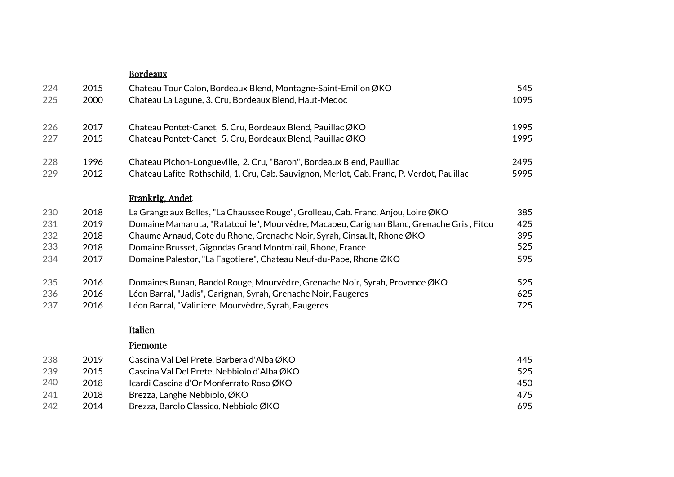|     |      | <b>Bordeaux</b>                                                                            |      |
|-----|------|--------------------------------------------------------------------------------------------|------|
| 224 | 2015 | Chateau Tour Calon, Bordeaux Blend, Montagne-Saint-Emilion ØKO                             | 545  |
| 225 | 2000 | Chateau La Lagune, 3. Cru, Bordeaux Blend, Haut-Medoc                                      | 1095 |
| 226 | 2017 | Chateau Pontet-Canet, 5. Cru, Bordeaux Blend, Pauillac ØKO                                 | 1995 |
| 227 | 2015 | Chateau Pontet-Canet, 5. Cru, Bordeaux Blend, Pauillac ØKO                                 | 1995 |
| 228 | 1996 | Chateau Pichon-Longueville, 2. Cru, "Baron", Bordeaux Blend, Pauillac                      | 2495 |
| 229 | 2012 | Chateau Lafite-Rothschild, 1. Cru, Cab. Sauvignon, Merlot, Cab. Franc, P. Verdot, Pauillac | 5995 |
|     |      | Frankrig, Andet                                                                            |      |
| 230 | 2018 | La Grange aux Belles, "La Chaussee Rouge", Grolleau, Cab. Franc, Anjou, Loire ØKO          | 385  |
| 231 | 2019 | Domaine Mamaruta, "Ratatouille", Mourvèdre, Macabeu, Carignan Blanc, Grenache Gris, Fitou  | 425  |
| 232 | 2018 | Chaume Arnaud, Cote du Rhone, Grenache Noir, Syrah, Cinsault, Rhone ØKO                    | 395  |
| 233 | 2018 | Domaine Brusset, Gigondas Grand Montmirail, Rhone, France                                  | 525  |
| 234 | 2017 | Domaine Palestor, "La Fagotiere", Chateau Neuf-du-Pape, Rhone ØKO                          | 595  |
| 235 | 2016 | Domaines Bunan, Bandol Rouge, Mourvèdre, Grenache Noir, Syrah, Provence ØKO                | 525  |
| 236 | 2016 | Léon Barral, "Jadis", Carignan, Syrah, Grenache Noir, Faugeres                             | 625  |
| 237 | 2016 | Léon Barral, "Valiniere, Mourvèdre, Syrah, Faugeres                                        | 725  |
|     |      | Italien                                                                                    |      |
|     |      | Piemonte                                                                                   |      |
| 238 | 2019 | Cascina Val Del Prete, Barbera d'Alba ØKO                                                  | 445  |
| 239 | 2015 | Cascina Val Del Prete, Nebbiolo d'Alba ØKO                                                 | 525  |
| 240 | 2018 | Icardi Cascina d'Or Monferrato Roso ØKO                                                    | 450  |
| 241 | 2018 | Brezza, Langhe Nebbiolo, ØKO                                                               | 475  |
| 242 | 2014 | Brezza, Barolo Classico, Nebbiolo ØKO                                                      | 695  |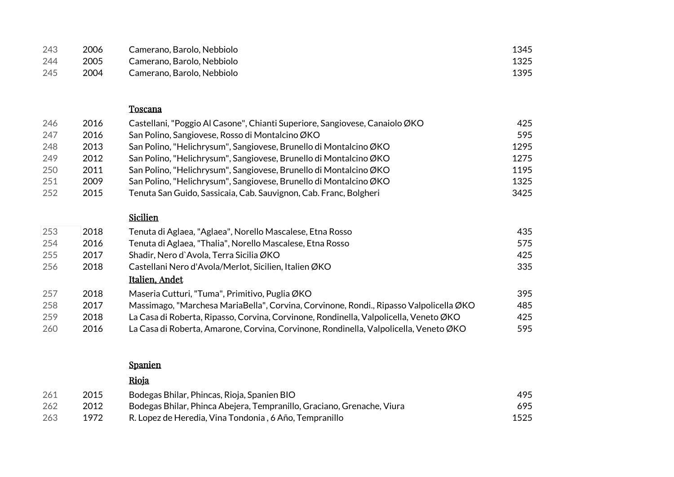| 243 | 2006 | Camerano, Barolo, Nebbiolo | 1345 |
|-----|------|----------------------------|------|
| 244 | 2005 | Camerano, Barolo, Nebbiolo | 1325 |
| 245 | 2004 | Camerano, Barolo, Nebbiolo | 1395 |

#### Toscana

| 246 | 2016 | Castellani, "Poggio Al Casone", Chianti Superiore, Sangiovese, Canaiolo ØKO | 425  |
|-----|------|-----------------------------------------------------------------------------|------|
| 247 | 2016 | San Polino, Sangiovese, Rosso di Montalcino ØKO                             | 595  |
| 248 | 2013 | San Polino, "Helichrysum", Sangiovese, Brunello di Montalcino ØKO           | 1295 |
| 249 | 2012 | San Polino, "Helichrysum", Sangiovese, Brunello di Montalcino ØKO           | 1275 |
| 250 | 2011 | San Polino, "Helichrysum", Sangiovese, Brunello di Montalcino ØKO           | 1195 |
| 251 | 2009 | San Polino, "Helichrysum", Sangiovese, Brunello di Montalcino ØKO           | 1325 |
| 252 | 2015 | Tenuta San Guido, Sassicaia, Cab. Sauvignon, Cab. Franc, Bolgheri           | 3425 |

#### Sicilien

| 253 | 2018 | Tenuta di Aglaea, "Aglaea", Norello Mascalese, Etna Rosso                              | 435 |
|-----|------|----------------------------------------------------------------------------------------|-----|
| 254 | 2016 | Tenuta di Aglaea, "Thalia", Norello Mascalese, Etna Rosso                              | 575 |
| 255 | 2017 | Shadir, Nero d'Avola, Terra Sicilia ØKO                                                | 425 |
| 256 | 2018 | Castellani Nero d'Avola/Merlot, Sicilien, Italien ØKO                                  | 335 |
|     |      | Italien, Andet                                                                         |     |
| 257 | 2018 | Maseria Cutturi, "Tuma", Primitivo, Puglia ØKO                                         | 395 |
| 258 | 2017 | Massimago, "Marchesa MariaBella", Corvina, Corvinone, Rondi., Ripasso Valpolicella ØKO | 485 |
| 259 | 2018 | La Casa di Roberta, Ripasso, Corvina, Corvinone, Rondinella, Valpolicella, Veneto ØKO  | 425 |
| 260 | 2016 | La Casa di Roberta, Amarone, Corvina, Corvinone, Rondinella, Valpolicella, Veneto ØKO  | 595 |

#### Spanien

#### Rioja

| 261 | 2015 | Bodegas Bhilar, Phincas, Rioja, Spanien BIO                            | 495  |
|-----|------|------------------------------------------------------------------------|------|
| 262 | 2012 | Bodegas Bhilar, Phinca Abejera, Tempranillo, Graciano, Grenache, Viura | 695  |
| 263 | 1972 | R. Lopez de Heredia, Vina Tondonia, 6 Año, Tempranillo                 | 1525 |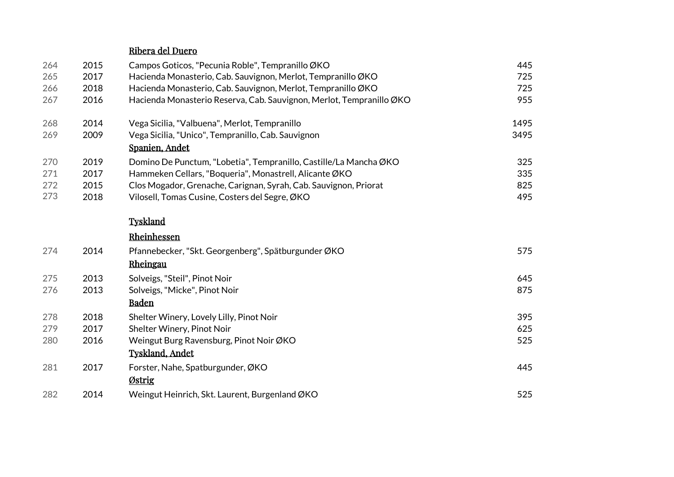#### Ribera del Duero

| 264 | 2015 | Campos Goticos, "Pecunia Roble", Tempranillo ØKO                     | 445  |
|-----|------|----------------------------------------------------------------------|------|
| 265 | 2017 | Hacienda Monasterio, Cab. Sauvignon, Merlot, Tempranillo ØKO         | 725  |
| 266 | 2018 | Hacienda Monasterio, Cab. Sauvignon, Merlot, Tempranillo ØKO         | 725  |
| 267 | 2016 | Hacienda Monasterio Reserva, Cab. Sauvignon, Merlot, Tempranillo ØKO | 955  |
| 268 | 2014 | Vega Sicilia, "Valbuena", Merlot, Tempranillo                        | 1495 |
| 269 | 2009 | Vega Sicilia, "Unico", Tempranillo, Cab. Sauvignon                   | 3495 |
|     |      | Spanien, Andet                                                       |      |
| 270 | 2019 | Domino De Punctum, "Lobetia", Tempranillo, Castille/La Mancha ØKO    | 325  |
| 271 | 2017 | Hammeken Cellars, "Boqueria", Monastrell, Alicante ØKO               | 335  |
| 272 | 2015 | Clos Mogador, Grenache, Carignan, Syrah, Cab. Sauvignon, Priorat     | 825  |
| 273 | 2018 | Vilosell, Tomas Cusine, Costers del Segre, ØKO                       | 495  |
|     |      | <b>Tyskland</b>                                                      |      |
|     |      | Rheinhessen                                                          |      |
| 274 | 2014 | Pfannebecker, "Skt. Georgenberg", Spätburgunder ØKO                  | 575  |
|     |      | Rheingau                                                             |      |
| 275 | 2013 | Solveigs, "Steil", Pinot Noir                                        | 645  |
| 276 | 2013 | Solveigs, "Micke", Pinot Noir                                        | 875  |
|     |      | <b>Baden</b>                                                         |      |
| 278 | 2018 | Shelter Winery, Lovely Lilly, Pinot Noir                             | 395  |
| 279 | 2017 | Shelter Winery, Pinot Noir                                           | 625  |
| 280 | 2016 | Weingut Burg Ravensburg, Pinot Noir ØKO                              | 525  |
|     |      | <b>Tyskland, Andet</b>                                               |      |
| 281 | 2017 | Forster, Nahe, Spatburgunder, ØKO                                    | 445  |
|     |      | Østrig                                                               |      |
| 282 | 2014 | Weingut Heinrich, Skt. Laurent, Burgenland ØKO                       | 525  |